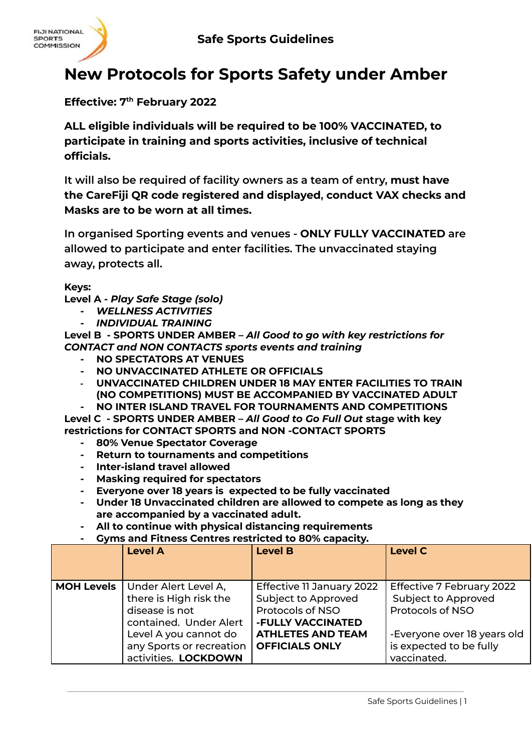

## **New Protocols for Sports Safety under Amber**

## **Effective: 7 th February 2022**

**ALL eligible individuals will be required to be 100% VACCINATED, to participate in training and sports activities, inclusive of technical officials.**

**It will also be required of facility owners as a team of entry, must have the CareFiji QR code registered and displayed, conduct VAX checks and Masks are to be worn at all times.**

**In organised Sporting events and venues - ONLY FULLY VACCINATED are allowed to participate and enter facilities. The unvaccinated staying away, protects all.**

**Keys:**

**Level A -** *Play Safe Stage (solo)*

- **-** *WELLNESS ACTIVITIES*
- **-** *INDIVIDUAL TRAINING*

**Level B - SPORTS UNDER AMBER –** *All Good to go with key restrictions for CONTACT and NON CONTACTS sports events and training*

- **- NO SPECTATORS AT VENUES**
- **- NO UNVACCINATED ATHLETE OR OFFICIALS**
- **- UNVACCINATED CHILDREN UNDER 18 MAY ENTER FACILITIES TO TRAIN (NO COMPETITIONS) MUST BE ACCOMPANIED BY VACCINATED ADULT - NO INTER ISLAND TRAVEL FOR TOURNAMENTS AND COMPETITIONS**

**Level C - SPORTS UNDER AMBER –** *All Good to Go Full Out* **stage with key restrictions for CONTACT SPORTS and NON -CONTACT SPORTS**

- **- 80% Venue Spectator Coverage**
- **- Return to tournaments and competitions**
- **- Inter-island travel allowed**
- **- Masking required for spectators**
- **- Everyone over 18 years is expected to be fully vaccinated**
- **- Under 18 Unvaccinated children are allowed to compete as long as they are accompanied by a vaccinated adult.**
- **- All to continue with physical distancing requirements**
- **- Gyms and Fitness Centres restricted to 80% capacity.**

|                   | <b>Level A</b>                                                                                                                                                          | <b>Level B</b>                                                                                                                                               | <b>Level C</b>                                                                                                                                       |
|-------------------|-------------------------------------------------------------------------------------------------------------------------------------------------------------------------|--------------------------------------------------------------------------------------------------------------------------------------------------------------|------------------------------------------------------------------------------------------------------------------------------------------------------|
| <b>MOH Levels</b> | Under Alert Level A,<br>there is High risk the<br>disease is not<br>contained. Under Alert<br>Level A you cannot do<br>any Sports or recreation<br>activities. LOCKDOWN | Effective 11 January 2022<br><b>Subject to Approved</b><br><b>Protocols of NSO</b><br>-FULLY VACCINATED<br><b>ATHLETES AND TEAM</b><br><b>OFFICIALS ONLY</b> | Effective 7 February 2022<br><b>Subject to Approved</b><br>Protocols of NSO<br>-Everyone over 18 years old<br>is expected to be fully<br>vaccinated. |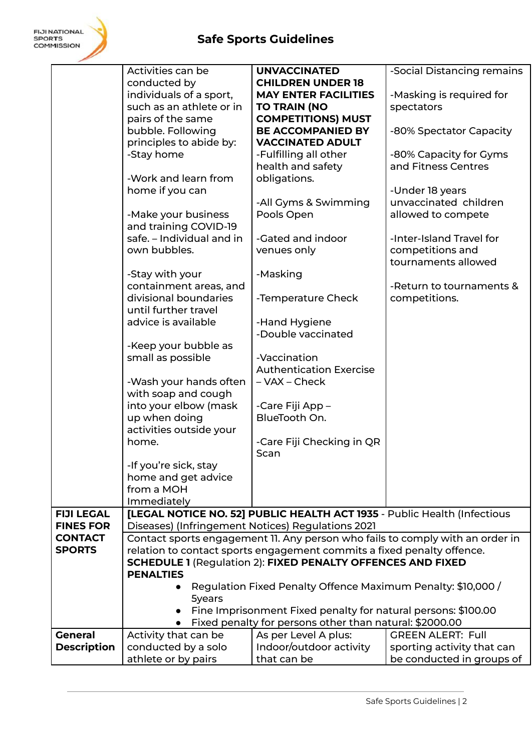|                    | Activities can be                                                                                                                                                | <b>UNVACCINATED</b>                                                      | -Social Distancing remains                                                    |
|--------------------|------------------------------------------------------------------------------------------------------------------------------------------------------------------|--------------------------------------------------------------------------|-------------------------------------------------------------------------------|
|                    | conducted by                                                                                                                                                     | <b>CHILDREN UNDER 18</b>                                                 |                                                                               |
|                    | individuals of a sport,                                                                                                                                          | <b>MAY ENTER FACILITIES</b>                                              | -Masking is required for                                                      |
|                    | such as an athlete or in                                                                                                                                         | <b>TO TRAIN (NO</b>                                                      | spectators                                                                    |
|                    | pairs of the same                                                                                                                                                | <b>COMPETITIONS) MUST</b>                                                |                                                                               |
|                    | bubble. Following                                                                                                                                                | <b>BE ACCOMPANIED BY</b>                                                 | -80% Spectator Capacity                                                       |
|                    | principles to abide by:                                                                                                                                          | <b>VACCINATED ADULT</b>                                                  |                                                                               |
|                    | -Stay home                                                                                                                                                       | -Fulfilling all other                                                    | -80% Capacity for Gyms                                                        |
|                    |                                                                                                                                                                  | health and safety                                                        | and Fitness Centres                                                           |
|                    | -Work and learn from                                                                                                                                             | obligations.                                                             |                                                                               |
|                    | home if you can                                                                                                                                                  |                                                                          | -Under 18 years                                                               |
|                    |                                                                                                                                                                  | -All Gyms & Swimming                                                     | unvaccinated children                                                         |
|                    | -Make your business                                                                                                                                              | Pools Open                                                               | allowed to compete                                                            |
|                    | and training COVID-19                                                                                                                                            |                                                                          |                                                                               |
|                    | safe. - Individual and in                                                                                                                                        | -Gated and indoor                                                        | -Inter-Island Travel for                                                      |
|                    | own bubbles.                                                                                                                                                     | venues only                                                              | competitions and                                                              |
|                    |                                                                                                                                                                  |                                                                          | tournaments allowed                                                           |
|                    | -Stay with your                                                                                                                                                  | -Masking                                                                 |                                                                               |
|                    | containment areas, and                                                                                                                                           |                                                                          | -Return to tournaments &                                                      |
|                    | divisional boundaries                                                                                                                                            | -Temperature Check                                                       | competitions.                                                                 |
|                    | until further travel                                                                                                                                             |                                                                          |                                                                               |
|                    | advice is available                                                                                                                                              | -Hand Hygiene                                                            |                                                                               |
|                    |                                                                                                                                                                  | -Double vaccinated                                                       |                                                                               |
|                    | -Keep your bubble as                                                                                                                                             |                                                                          |                                                                               |
|                    | small as possible                                                                                                                                                | -Vaccination                                                             |                                                                               |
|                    |                                                                                                                                                                  | <b>Authentication Exercise</b>                                           |                                                                               |
|                    | -Wash your hands often                                                                                                                                           | – VAX – Check                                                            |                                                                               |
|                    | with soap and cough                                                                                                                                              |                                                                          |                                                                               |
|                    | into your elbow (mask                                                                                                                                            | -Care Fiji App -                                                         |                                                                               |
|                    | up when doing                                                                                                                                                    | BlueTooth On.                                                            |                                                                               |
|                    | activities outside your                                                                                                                                          |                                                                          |                                                                               |
|                    | home.                                                                                                                                                            | -Care Fiji Checking in QR                                                |                                                                               |
|                    |                                                                                                                                                                  | Scan                                                                     |                                                                               |
|                    | -If you're sick, stay                                                                                                                                            |                                                                          |                                                                               |
|                    | home and get advice                                                                                                                                              |                                                                          |                                                                               |
|                    | from a MOH                                                                                                                                                       |                                                                          |                                                                               |
|                    | Immediately                                                                                                                                                      |                                                                          |                                                                               |
| <b>FIJI LEGAL</b>  |                                                                                                                                                                  | [LEGAL NOTICE NO. 52] PUBLIC HEALTH ACT 1935 - Public Health (Infectious |                                                                               |
| <b>FINES FOR</b>   |                                                                                                                                                                  | Diseases) (Infringement Notices) Regulations 2021                        |                                                                               |
| <b>CONTACT</b>     |                                                                                                                                                                  |                                                                          | Contact sports engagement 11. Any person who fails to comply with an order in |
| <b>SPORTS</b>      |                                                                                                                                                                  | relation to contact sports engagement commits a fixed penalty offence.   |                                                                               |
|                    | <b>SCHEDULE 1 (Regulation 2): FIXED PENALTY OFFENCES AND FIXED</b><br><b>PENALTIES</b><br>Regulation Fixed Penalty Offence Maximum Penalty: \$10,000 /<br>5years |                                                                          |                                                                               |
|                    |                                                                                                                                                                  |                                                                          |                                                                               |
|                    |                                                                                                                                                                  |                                                                          |                                                                               |
|                    |                                                                                                                                                                  |                                                                          |                                                                               |
|                    |                                                                                                                                                                  | Fine Imprisonment Fixed penalty for natural persons: \$100.00            |                                                                               |
|                    |                                                                                                                                                                  | Fixed penalty for persons other than natural: \$2000.00                  |                                                                               |
| <b>General</b>     | Activity that can be                                                                                                                                             | As per Level A plus:                                                     | <b>GREEN ALERT: Full</b>                                                      |
| <b>Description</b> | conducted by a solo                                                                                                                                              | Indoor/outdoor activity                                                  | sporting activity that can                                                    |
|                    | athlete or by pairs                                                                                                                                              | that can be                                                              | be conducted in groups of                                                     |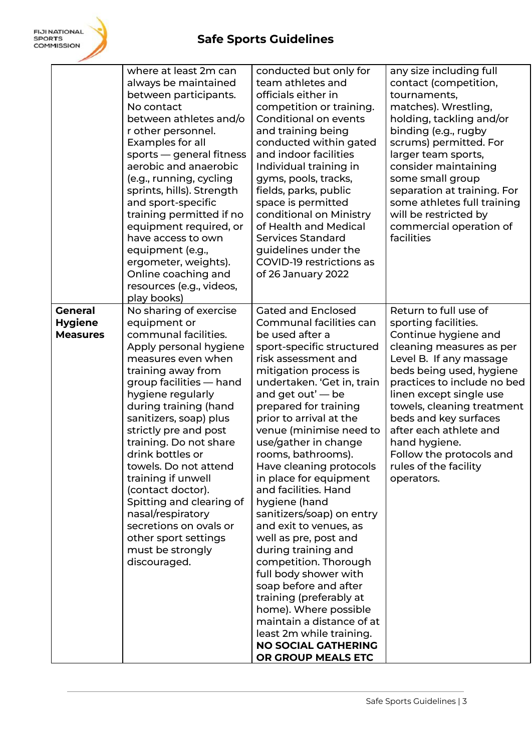|                                                     | where at least 2m can<br>always be maintained<br>between participants.<br>No contact<br>between athletes and/o<br>r other personnel.<br>Examples for all<br>sports - general fitness<br>aerobic and anaerobic<br>(e.g., running, cycling<br>sprints, hills). Strength<br>and sport-specific<br>training permitted if no<br>equipment required, or<br>have access to own<br>equipment (e.g.,<br>ergometer, weights).<br>Online coaching and<br>resources (e.g., videos,<br>play books)                                     | conducted but only for<br>team athletes and<br>officials either in<br>competition or training.<br>Conditional on events<br>and training being<br>conducted within gated<br>and indoor facilities<br>Individual training in<br>gyms, pools, tracks,<br>fields, parks, public<br>space is permitted<br>conditional on Ministry<br>of Health and Medical<br><b>Services Standard</b><br>guidelines under the<br>COVID-19 restrictions as<br>of 26 January 2022                                                                                                                                                                                                                                                                                                                             | any size including full<br>contact (competition,<br>tournaments,<br>matches). Wrestling,<br>holding, tackling and/or<br>binding (e.g., rugby<br>scrums) permitted. For<br>larger team sports,<br>consider maintaining<br>some small group<br>separation at training. For<br>some athletes full training<br>will be restricted by<br>commercial operation of<br>facilities               |
|-----------------------------------------------------|---------------------------------------------------------------------------------------------------------------------------------------------------------------------------------------------------------------------------------------------------------------------------------------------------------------------------------------------------------------------------------------------------------------------------------------------------------------------------------------------------------------------------|-----------------------------------------------------------------------------------------------------------------------------------------------------------------------------------------------------------------------------------------------------------------------------------------------------------------------------------------------------------------------------------------------------------------------------------------------------------------------------------------------------------------------------------------------------------------------------------------------------------------------------------------------------------------------------------------------------------------------------------------------------------------------------------------|-----------------------------------------------------------------------------------------------------------------------------------------------------------------------------------------------------------------------------------------------------------------------------------------------------------------------------------------------------------------------------------------|
| <b>General</b><br><b>Hygiene</b><br><b>Measures</b> | No sharing of exercise<br>equipment or<br>communal facilities.<br>Apply personal hygiene<br>measures even when<br>training away from<br>group facilities - hand<br>hygiene regularly<br>during training (hand<br>sanitizers, soap) plus<br>strictly pre and post<br>training. Do not share<br>drink bottles or<br>towels. Do not attend<br>training if unwell<br>(contact doctor).<br>Spitting and clearing of<br>nasal/respiratory<br>secretions on ovals or<br>other sport settings<br>must be strongly<br>discouraged. | <b>Gated and Enclosed</b><br>Communal facilities can<br>be used after a<br>sport-specific structured<br>risk assessment and<br>mitigation process is<br>undertaken. 'Get in, train<br>and get out' $-$ be<br>prepared for training<br>prior to arrival at the<br>venue (minimise need to<br>use/gather in change<br>rooms, bathrooms).<br>Have cleaning protocols<br>in place for equipment<br>and facilities. Hand<br>hygiene (hand<br>sanitizers/soap) on entry<br>and exit to venues, as<br>well as pre, post and<br>during training and<br>competition. Thorough<br>full body shower with<br>soap before and after<br>training (preferably at<br>home). Where possible<br>maintain a distance of at<br>least 2m while training.<br><b>NO SOCIAL GATHERING</b><br>OR GROUP MEALS ETC | Return to full use of<br>sporting facilities.<br>Continue hygiene and<br>cleaning measures as per<br>Level B. If any massage<br>beds being used, hygiene<br>practices to include no bed<br>linen except single use<br>towels, cleaning treatment<br>beds and key surfaces<br>after each athlete and<br>hand hygiene.<br>Follow the protocols and<br>rules of the facility<br>operators. |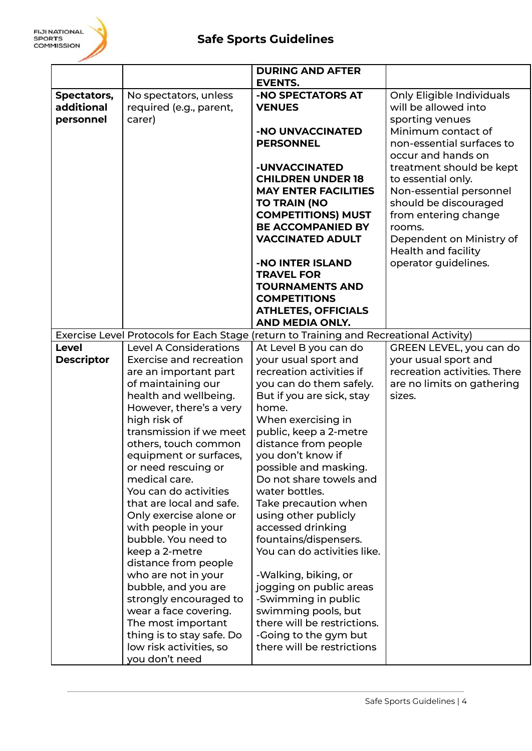|                   |                               | <b>DURING AND AFTER</b>                                                                |                              |
|-------------------|-------------------------------|----------------------------------------------------------------------------------------|------------------------------|
|                   |                               | <b>EVENTS.</b>                                                                         |                              |
| Spectators,       | No spectators, unless         | -NO SPECTATORS AT                                                                      | Only Eligible Individuals    |
| additional        | required (e.g., parent,       | <b>VENUES</b>                                                                          | will be allowed into         |
| personnel         | carer)                        |                                                                                        | sporting venues              |
|                   |                               | -NO UNVACCINATED                                                                       | Minimum contact of           |
|                   |                               | <b>PERSONNEL</b>                                                                       | non-essential surfaces to    |
|                   |                               |                                                                                        | occur and hands on           |
|                   |                               | -UNVACCINATED                                                                          | treatment should be kept     |
|                   |                               | <b>CHILDREN UNDER 18</b>                                                               | to essential only.           |
|                   |                               | <b>MAY ENTER FACILITIES</b>                                                            | Non-essential personnel      |
|                   |                               | <b>TO TRAIN (NO</b>                                                                    | should be discouraged        |
|                   |                               | <b>COMPETITIONS) MUST</b>                                                              | from entering change         |
|                   |                               | <b>BE ACCOMPANIED BY</b>                                                               | rooms.                       |
|                   |                               | <b>VACCINATED ADULT</b>                                                                | Dependent on Ministry of     |
|                   |                               |                                                                                        | <b>Health and facility</b>   |
|                   |                               | -NO INTER ISLAND                                                                       | operator guidelines.         |
|                   |                               | <b>TRAVEL FOR</b>                                                                      |                              |
|                   |                               | <b>TOURNAMENTS AND</b>                                                                 |                              |
|                   |                               | <b>COMPETITIONS</b>                                                                    |                              |
|                   |                               | <b>ATHLETES, OFFICIALS</b>                                                             |                              |
|                   |                               | AND MEDIA ONLY.                                                                        |                              |
|                   |                               | Exercise Level Protocols for Each Stage (return to Training and Recreational Activity) |                              |
| <b>Level</b>      | <b>Level A Considerations</b> | At Level B you can do                                                                  | GREEN LEVEL, you can do      |
| <b>Descriptor</b> | Exercise and recreation       | your usual sport and                                                                   | your usual sport and         |
|                   | are an important part         | recreation activities if                                                               | recreation activities. There |
|                   | of maintaining our            | you can do them safely.                                                                | are no limits on gathering   |
|                   | health and wellbeing.         | But if you are sick, stay                                                              | sizes.                       |
|                   | However, there's a very       | home.                                                                                  |                              |
|                   | high risk of                  | When exercising in                                                                     |                              |
|                   | transmission if we meet       | public, keep a 2-metre                                                                 |                              |
|                   | others, touch common          | distance from people                                                                   |                              |
|                   | equipment or surfaces,        | you don't know if                                                                      |                              |
|                   | or need rescuing or           | possible and masking.                                                                  |                              |
|                   | medical care.                 | Do not share towels and                                                                |                              |
|                   | You can do activities         | water bottles.                                                                         |                              |
|                   | that are local and safe.      | Take precaution when                                                                   |                              |
|                   | Only exercise alone or        | using other publicly                                                                   |                              |
|                   | with people in your           | accessed drinking                                                                      |                              |
|                   | bubble. You need to           | fountains/dispensers.                                                                  |                              |
|                   | keep a 2-metre                | You can do activities like.                                                            |                              |
|                   | distance from people          |                                                                                        |                              |
|                   | who are not in your           | -Walking, biking, or                                                                   |                              |
|                   | bubble, and you are           | jogging on public areas                                                                |                              |
|                   | strongly encouraged to        | -Swimming in public                                                                    |                              |
|                   | wear a face covering.         | swimming pools, but                                                                    |                              |
|                   | The most important            | there will be restrictions.                                                            |                              |
|                   | thing is to stay safe. Do     | -Going to the gym but                                                                  |                              |
|                   | low risk activities, so       | there will be restrictions                                                             |                              |
|                   | you don't need                |                                                                                        |                              |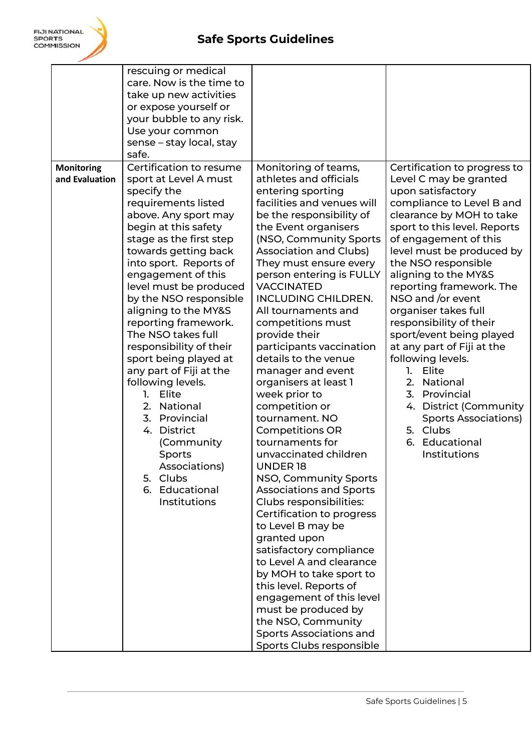|                                     | rescuing or medical<br>care. Now is the time to<br>take up new activities<br>or expose yourself or<br>your bubble to any risk.<br>Use your common<br>sense - stay local, stay<br>safe.                                                                                                                                                                                                                                                                                                                                                                                                                                                 |                                                                                                                                                                                                                                                                                                                                                                                                                                                                                                                                                                                                                                                                                                                                                                                                                                                                                                                                                                                                                                            |                                                                                                                                                                                                                                                                                                                                                                                                                                                                                                                                                                                                                 |
|-------------------------------------|----------------------------------------------------------------------------------------------------------------------------------------------------------------------------------------------------------------------------------------------------------------------------------------------------------------------------------------------------------------------------------------------------------------------------------------------------------------------------------------------------------------------------------------------------------------------------------------------------------------------------------------|--------------------------------------------------------------------------------------------------------------------------------------------------------------------------------------------------------------------------------------------------------------------------------------------------------------------------------------------------------------------------------------------------------------------------------------------------------------------------------------------------------------------------------------------------------------------------------------------------------------------------------------------------------------------------------------------------------------------------------------------------------------------------------------------------------------------------------------------------------------------------------------------------------------------------------------------------------------------------------------------------------------------------------------------|-----------------------------------------------------------------------------------------------------------------------------------------------------------------------------------------------------------------------------------------------------------------------------------------------------------------------------------------------------------------------------------------------------------------------------------------------------------------------------------------------------------------------------------------------------------------------------------------------------------------|
| <b>Monitoring</b><br>and Evaluation | Certification to resume<br>sport at Level A must<br>specify the<br>requirements listed<br>above. Any sport may<br>begin at this safety<br>stage as the first step<br>towards getting back<br>into sport. Reports of<br>engagement of this<br>level must be produced<br>by the NSO responsible<br>aligning to the MY&S<br>reporting framework.<br>The NSO takes full<br>responsibility of their<br>sport being played at<br>any part of Fiji at the<br>following levels.<br>Elite<br>1.<br>National<br>2.<br>3. Provincial<br>4. District<br>(Community<br>Sports<br>Associations)<br>5. Clubs<br>6. Educational<br><b>Institutions</b> | Monitoring of teams,<br>athletes and officials<br>entering sporting<br>facilities and venues will<br>be the responsibility of<br>the Event organisers<br>(NSO, Community Sports<br><b>Association and Clubs)</b><br>They must ensure every<br>person entering is FULLY<br><b>VACCINATED</b><br><b>INCLUDING CHILDREN.</b><br>All tournaments and<br>competitions must<br>provide their<br>participants vaccination<br>details to the venue<br>manager and event<br>organisers at least 1<br>week prior to<br>competition or<br>tournament. NO<br><b>Competitions OR</b><br>tournaments for<br>unvaccinated children<br>UNDER 18<br>NSO, Community Sports<br><b>Associations and Sports</b><br>Clubs responsibilities:<br>Certification to progress<br>to Level B may be<br>granted upon<br>satisfactory compliance<br>to Level A and clearance<br>by MOH to take sport to<br>this level. Reports of<br>engagement of this level<br>must be produced by<br>the NSO, Community<br><b>Sports Associations and</b><br>Sports Clubs responsible | Certification to progress to<br>Level C may be granted<br>upon satisfactory<br>compliance to Level B and<br>clearance by MOH to take<br>sport to this level. Reports<br>of engagement of this<br>level must be produced by<br>the NSO responsible<br>aligning to the MY&S<br>reporting framework. The<br>NSO and /or event<br>organiser takes full<br>responsibility of their<br>sport/event being played<br>at any part of Fiji at the<br>following levels.<br>1. Elite<br>2. National<br>3. Provincial<br>4. District (Community<br><b>Sports Associations)</b><br>5. Clubs<br>6. Educational<br>Institutions |